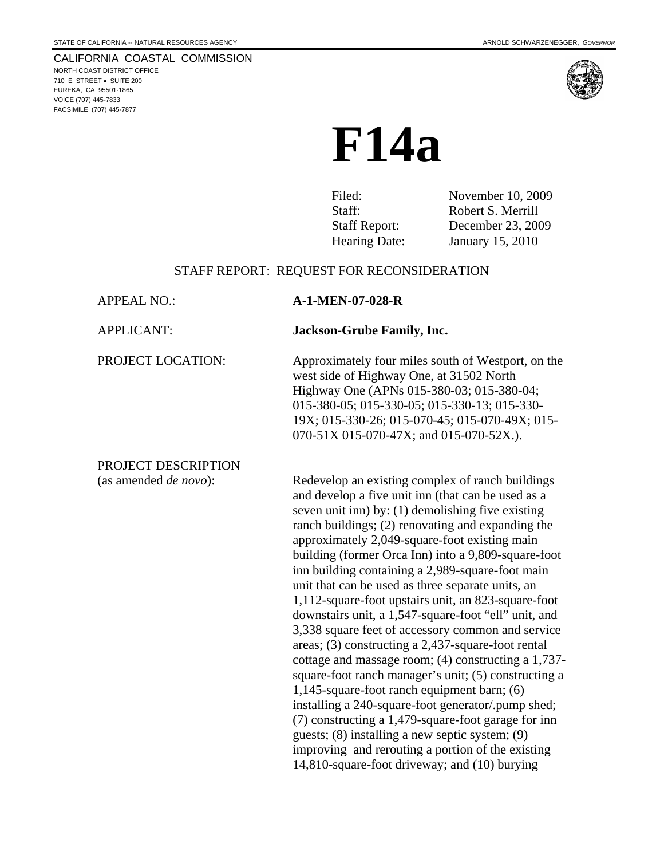NORTH COAST DISTRICT OFFICE 710 E STREET • SUITE 200 EUREKA, CA 95501-1865 VOICE (707) 445-7833 FACSIMILE (707) 445-7877

# **F14a**

Filed: November 10, 2009 Staff: Report: Robert S. Merrill<br>Staff Report: December 23, 200 Staff Report: December 23, 2009<br>Hearing Date: January 15, 2010 January 15, 2010

## STAFF REPORT: REQUEST FOR RECONSIDERATION

| <b>APPEAL NO.:</b>            | A-1-MEN-07-028-R                                                                                                                                                                                                                                                                                                                                                                                                                                                                                                                                                                                                                                                                                                                                                                                                                                                                                                                                                                                                                                                                                |
|-------------------------------|-------------------------------------------------------------------------------------------------------------------------------------------------------------------------------------------------------------------------------------------------------------------------------------------------------------------------------------------------------------------------------------------------------------------------------------------------------------------------------------------------------------------------------------------------------------------------------------------------------------------------------------------------------------------------------------------------------------------------------------------------------------------------------------------------------------------------------------------------------------------------------------------------------------------------------------------------------------------------------------------------------------------------------------------------------------------------------------------------|
| <b>APPLICANT:</b>             | <b>Jackson-Grube Family, Inc.</b>                                                                                                                                                                                                                                                                                                                                                                                                                                                                                                                                                                                                                                                                                                                                                                                                                                                                                                                                                                                                                                                               |
| PROJECT LOCATION:             | Approximately four miles south of Westport, on the<br>west side of Highway One, at 31502 North<br>Highway One (APNs 015-380-03; 015-380-04;<br>015-380-05; 015-330-05; 015-330-13; 015-330-<br>19X; 015-330-26; 015-070-45; 015-070-49X; 015-<br>070-51X 015-070-47X; and 015-070-52X.).                                                                                                                                                                                                                                                                                                                                                                                                                                                                                                                                                                                                                                                                                                                                                                                                        |
| PROJECT DESCRIPTION           |                                                                                                                                                                                                                                                                                                                                                                                                                                                                                                                                                                                                                                                                                                                                                                                                                                                                                                                                                                                                                                                                                                 |
| (as amended <i>de novo</i> ): | Redevelop an existing complex of ranch buildings<br>and develop a five unit inn (that can be used as a<br>seven unit inn) by: (1) demolishing five existing<br>ranch buildings; (2) renovating and expanding the<br>approximately 2,049-square-foot existing main<br>building (former Orca Inn) into a 9,809-square-foot<br>inn building containing a 2,989-square-foot main<br>unit that can be used as three separate units, an<br>1,112-square-foot upstairs unit, an 823-square-foot<br>downstairs unit, a 1,547-square-foot "ell" unit, and<br>3,338 square feet of accessory common and service<br>areas; (3) constructing a 2,437-square-foot rental<br>cottage and massage room; (4) constructing a 1,737-<br>square-foot ranch manager's unit; (5) constructing a<br>1,145-square-foot ranch equipment barn; (6)<br>installing a 240-square-foot generator/.pump shed;<br>(7) constructing a 1,479-square-foot garage for inn<br>guests; (8) installing a new septic system; (9)<br>improving and rerouting a portion of the existing<br>14,810-square-foot driveway; and (10) burying |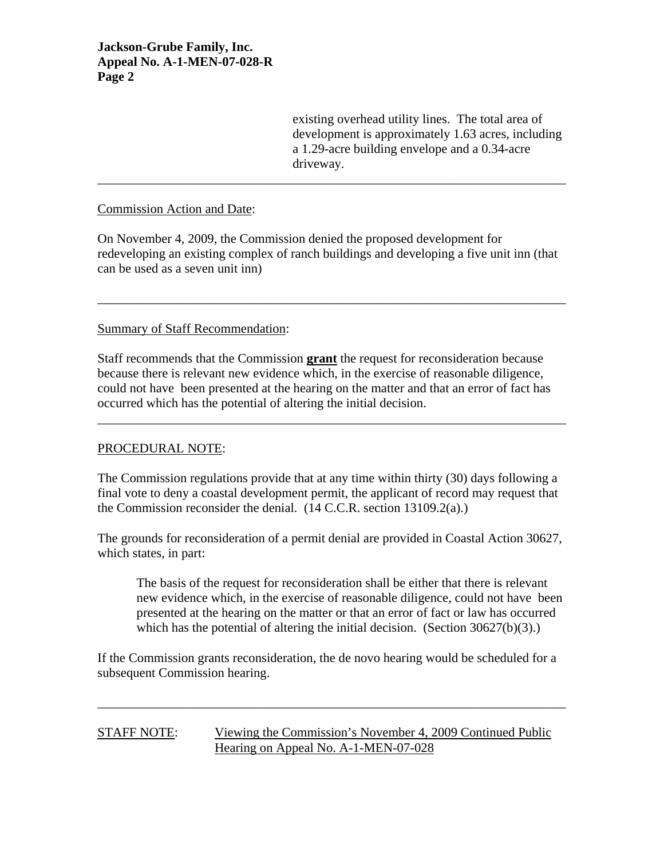existing overhead utility lines. The total area of development is approximately 1.63 acres, including a 1.29-acre building envelope and a 0.34-acre driveway.

#### Commission Action and Date:

On November 4, 2009, the Commission denied the proposed development for redeveloping an existing complex of ranch buildings and developing a five unit inn (that can be used as a seven unit inn)

\_\_\_\_\_\_\_\_\_\_\_\_\_\_\_\_\_\_\_\_\_\_\_\_\_\_\_\_\_\_\_\_\_\_\_\_\_\_\_\_\_\_\_\_\_\_\_\_\_\_\_\_\_\_\_\_\_\_\_\_\_\_\_\_\_\_\_\_\_\_\_\_

\_\_\_\_\_\_\_\_\_\_\_\_\_\_\_\_\_\_\_\_\_\_\_\_\_\_\_\_\_\_\_\_\_\_\_\_\_\_\_\_\_\_\_\_\_\_\_\_\_\_\_\_\_\_\_\_\_\_\_\_\_\_\_\_\_\_\_\_\_\_\_\_

#### Summary of Staff Recommendation:

Staff recommends that the Commission **grant** the request for reconsideration because because there is relevant new evidence which, in the exercise of reasonable diligence, could not have been presented at the hearing on the matter and that an error of fact has occurred which has the potential of altering the initial decision.

\_\_\_\_\_\_\_\_\_\_\_\_\_\_\_\_\_\_\_\_\_\_\_\_\_\_\_\_\_\_\_\_\_\_\_\_\_\_\_\_\_\_\_\_\_\_\_\_\_\_\_\_\_\_\_\_\_\_\_\_\_\_\_\_\_\_\_\_\_\_\_\_

#### PROCEDURAL NOTE:

The Commission regulations provide that at any time within thirty (30) days following a final vote to deny a coastal development permit, the applicant of record may request that the Commission reconsider the denial. (14 C.C.R. section 13109.2(a).)

The grounds for reconsideration of a permit denial are provided in Coastal Action 30627, which states, in part:

 The basis of the request for reconsideration shall be either that there is relevant new evidence which, in the exercise of reasonable diligence, could not have been presented at the hearing on the matter or that an error of fact or law has occurred which has the potential of altering the initial decision. (Section 30627(b)(3).)

If the Commission grants reconsideration, the de novo hearing would be scheduled for a subsequent Commission hearing.

\_\_\_\_\_\_\_\_\_\_\_\_\_\_\_\_\_\_\_\_\_\_\_\_\_\_\_\_\_\_\_\_\_\_\_\_\_\_\_\_\_\_\_\_\_\_\_\_\_\_\_\_\_\_\_\_\_\_\_\_\_\_\_\_\_\_\_\_\_\_\_\_

#### STAFF NOTE: Viewing the Commission's November 4, 2009 Continued Public Hearing on Appeal No. A-1-MEN-07-028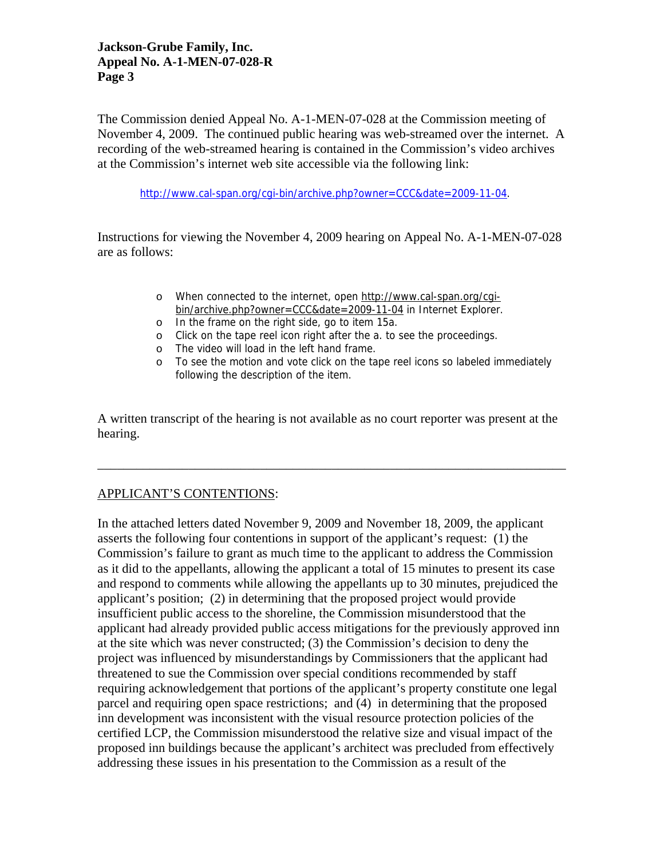The Commission denied Appeal No. A-1-MEN-07-028 at the Commission meeting of November 4, 2009. The continued public hearing was web-streamed over the internet. A recording of the web-streamed hearing is contained in the Commission's video archives at the Commission's internet web site accessible via the following link:

[http://www.cal-span.org/cgi-bin/archive.php?owner=CCC&date=2009-11-04.](http://www.cal-span.org/cgi-bin/archive.php?owner=CCC&date=2009-11-04)

Instructions for viewing the November 4, 2009 hearing on Appeal No. A-1-MEN-07-028 are as follows:

- o When connected to the internet, open [http://www.cal-span.org/cgi](http://www.cal-span.org/cgi-bin/archive.php?owner=CCC&date=2009-11-04)[bin/archive.php?owner=CCC&date=2009-11-04](http://www.cal-span.org/cgi-bin/archive.php?owner=CCC&date=2009-11-04) in Internet Explorer.
- o In the frame on the right side, go to item 15a.
- o Click on the tape reel icon right after the a. to see the proceedings.
- o The video will load in the left hand frame.
- o To see the motion and vote click on the tape reel icons so labeled immediately following the description of the item.

A written transcript of the hearing is not available as no court reporter was present at the hearing.

\_\_\_\_\_\_\_\_\_\_\_\_\_\_\_\_\_\_\_\_\_\_\_\_\_\_\_\_\_\_\_\_\_\_\_\_\_\_\_\_\_\_\_\_\_\_\_\_\_\_\_\_\_\_\_\_\_\_\_\_\_\_\_\_\_\_\_\_\_\_\_\_

# APPLICANT'S CONTENTIONS:

In the attached letters dated November 9, 2009 and November 18, 2009, the applicant asserts the following four contentions in support of the applicant's request: (1) the Commission's failure to grant as much time to the applicant to address the Commission as it did to the appellants, allowing the applicant a total of 15 minutes to present its case and respond to comments while allowing the appellants up to 30 minutes, prejudiced the applicant's position; (2) in determining that the proposed project would provide insufficient public access to the shoreline, the Commission misunderstood that the applicant had already provided public access mitigations for the previously approved inn at the site which was never constructed; (3) the Commission's decision to deny the project was influenced by misunderstandings by Commissioners that the applicant had threatened to sue the Commission over special conditions recommended by staff requiring acknowledgement that portions of the applicant's property constitute one legal parcel and requiring open space restrictions; and (4) in determining that the proposed inn development was inconsistent with the visual resource protection policies of the certified LCP, the Commission misunderstood the relative size and visual impact of the proposed inn buildings because the applicant's architect was precluded from effectively addressing these issues in his presentation to the Commission as a result of the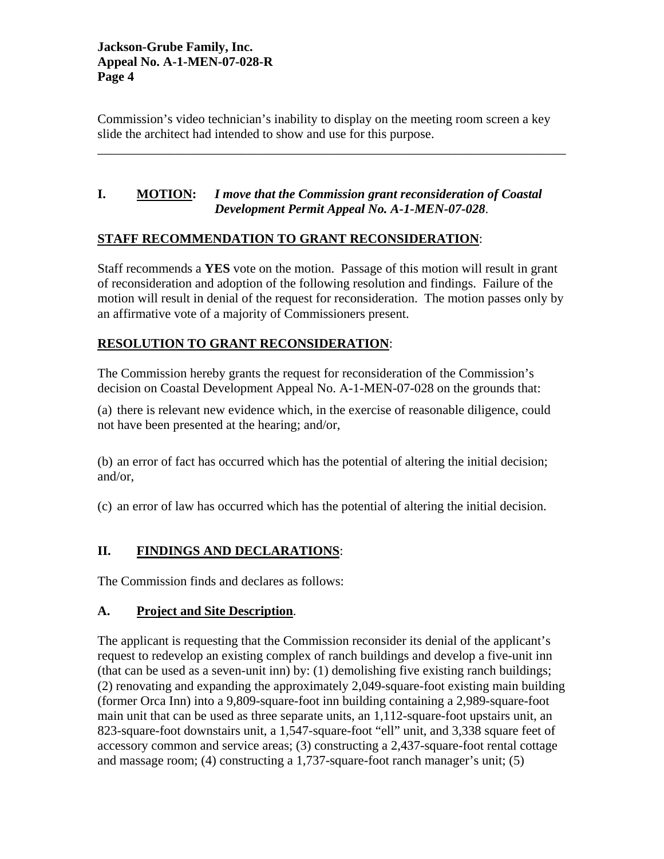Commission's video technician's inability to display on the meeting room screen a key slide the architect had intended to show and use for this purpose.

\_\_\_\_\_\_\_\_\_\_\_\_\_\_\_\_\_\_\_\_\_\_\_\_\_\_\_\_\_\_\_\_\_\_\_\_\_\_\_\_\_\_\_\_\_\_\_\_\_\_\_\_\_\_\_\_\_\_\_\_\_\_\_\_\_\_\_\_\_\_\_\_

# **I. MOTION:** *I move that the Commission grant reconsideration of Coastal Development Permit Appeal No. A-1-MEN-07-028*.

# **STAFF RECOMMENDATION TO GRANT RECONSIDERATION**:

Staff recommends a **YES** vote on the motion. Passage of this motion will result in grant of reconsideration and adoption of the following resolution and findings. Failure of the motion will result in denial of the request for reconsideration. The motion passes only by an affirmative vote of a majority of Commissioners present.

# **RESOLUTION TO GRANT RECONSIDERATION**:

The Commission hereby grants the request for reconsideration of the Commission's decision on Coastal Development Appeal No. A-1-MEN-07-028 on the grounds that:

(a) there is relevant new evidence which, in the exercise of reasonable diligence, could not have been presented at the hearing; and/or,

(b) an error of fact has occurred which has the potential of altering the initial decision; and/or,

(c) an error of law has occurred which has the potential of altering the initial decision.

# **II. FINDINGS AND DECLARATIONS**:

The Commission finds and declares as follows:

# **A. Project and Site Description**.

The applicant is requesting that the Commission reconsider its denial of the applicant's request to redevelop an existing complex of ranch buildings and develop a five-unit inn (that can be used as a seven-unit inn) by:  $(1)$  demolishing five existing ranch buildings; (2) renovating and expanding the approximately 2,049-square-foot existing main building (former Orca Inn) into a 9,809-square-foot inn building containing a 2,989-square-foot main unit that can be used as three separate units, an 1,112-square-foot upstairs unit, an 823-square-foot downstairs unit, a 1,547-square-foot "ell" unit, and 3,338 square feet of accessory common and service areas; (3) constructing a 2,437-square-foot rental cottage and massage room; (4) constructing a 1,737-square-foot ranch manager's unit; (5)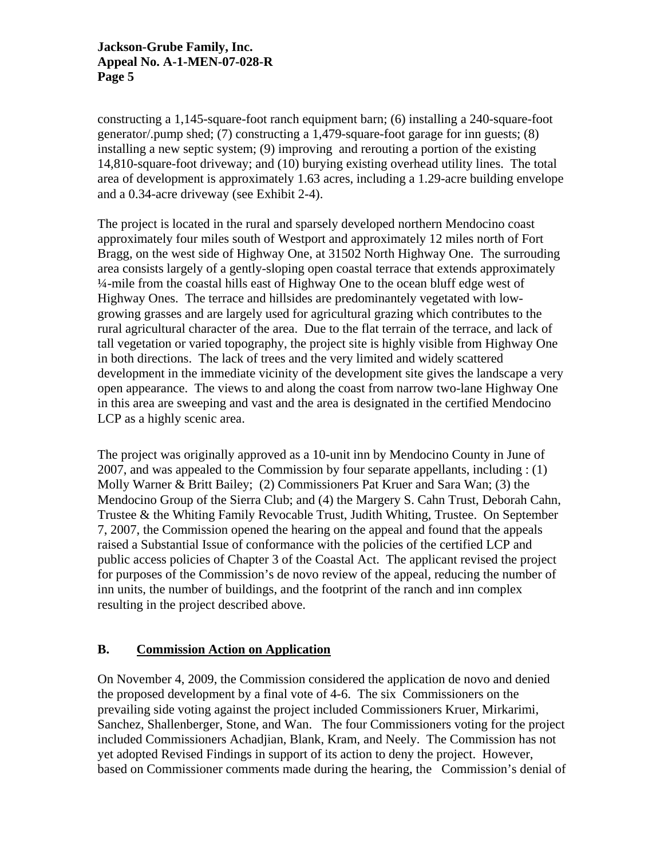constructing a 1,145-square-foot ranch equipment barn; (6) installing a 240-square-foot generator/.pump shed; (7) constructing a 1,479-square-foot garage for inn guests; (8) installing a new septic system; (9) improving and rerouting a portion of the existing 14,810-square-foot driveway; and (10) burying existing overhead utility lines. The total area of development is approximately 1.63 acres, including a 1.29-acre building envelope and a 0.34-acre driveway (see Exhibit 2-4).

The project is located in the rural and sparsely developed northern Mendocino coast approximately four miles south of Westport and approximately 12 miles north of Fort Bragg, on the west side of Highway One, at 31502 North Highway One. The surrouding area consists largely of a gently-sloping open coastal terrace that extends approximately ¼-mile from the coastal hills east of Highway One to the ocean bluff edge west of Highway Ones. The terrace and hillsides are predominantely vegetated with lowgrowing grasses and are largely used for agricultural grazing which contributes to the rural agricultural character of the area. Due to the flat terrain of the terrace, and lack of tall vegetation or varied topography, the project site is highly visible from Highway One in both directions. The lack of trees and the very limited and widely scattered development in the immediate vicinity of the development site gives the landscape a very open appearance. The views to and along the coast from narrow two-lane Highway One in this area are sweeping and vast and the area is designated in the certified Mendocino LCP as a highly scenic area.

The project was originally approved as a 10-unit inn by Mendocino County in June of 2007, and was appealed to the Commission by four separate appellants, including : (1) Molly Warner & Britt Bailey; (2) Commissioners Pat Kruer and Sara Wan; (3) the Mendocino Group of the Sierra Club; and (4) the Margery S. Cahn Trust, Deborah Cahn, Trustee & the Whiting Family Revocable Trust, Judith Whiting, Trustee. On September 7, 2007, the Commission opened the hearing on the appeal and found that the appeals raised a Substantial Issue of conformance with the policies of the certified LCP and public access policies of Chapter 3 of the Coastal Act. The applicant revised the project for purposes of the Commission's de novo review of the appeal, reducing the number of inn units, the number of buildings, and the footprint of the ranch and inn complex resulting in the project described above.

# **B. Commission Action on Application**

On November 4, 2009, the Commission considered the application de novo and denied the proposed development by a final vote of 4-6. The six Commissioners on the prevailing side voting against the project included Commissioners Kruer, Mirkarimi, Sanchez, Shallenberger, Stone, and Wan. The four Commissioners voting for the project included Commissioners Achadjian, Blank, Kram, and Neely. The Commission has not yet adopted Revised Findings in support of its action to deny the project. However, based on Commissioner comments made during the hearing, the Commission's denial of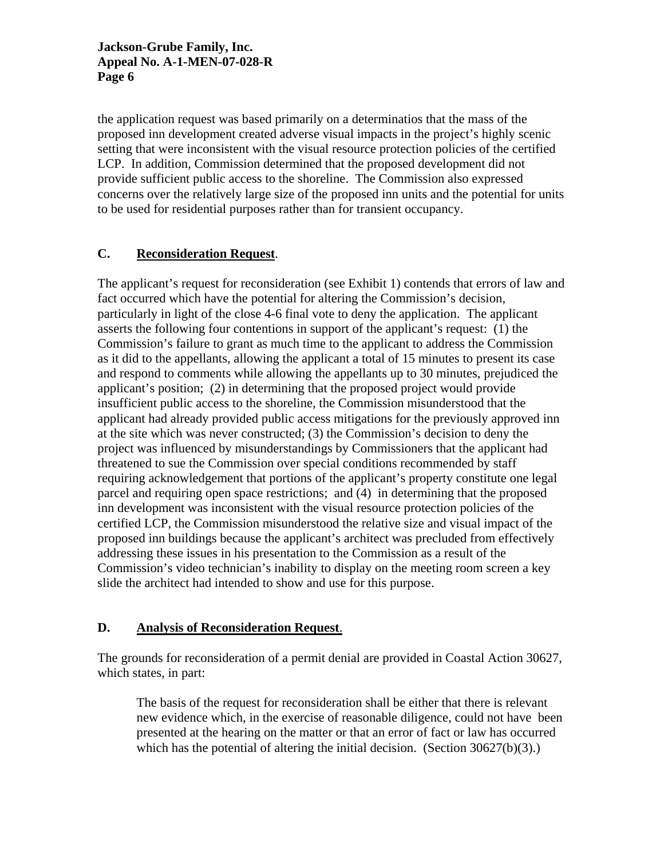the application request was based primarily on a determinatios that the mass of the proposed inn development created adverse visual impacts in the project's highly scenic setting that were inconsistent with the visual resource protection policies of the certified LCP. In addition, Commission determined that the proposed development did not provide sufficient public access to the shoreline. The Commission also expressed concerns over the relatively large size of the proposed inn units and the potential for units to be used for residential purposes rather than for transient occupancy.

# **C. Reconsideration Request**.

The applicant's request for reconsideration (see Exhibit 1) contends that errors of law and fact occurred which have the potential for altering the Commission's decision, particularly in light of the close 4-6 final vote to deny the application. The applicant asserts the following four contentions in support of the applicant's request: (1) the Commission's failure to grant as much time to the applicant to address the Commission as it did to the appellants, allowing the applicant a total of 15 minutes to present its case and respond to comments while allowing the appellants up to 30 minutes, prejudiced the applicant's position; (2) in determining that the proposed project would provide insufficient public access to the shoreline, the Commission misunderstood that the applicant had already provided public access mitigations for the previously approved inn at the site which was never constructed; (3) the Commission's decision to deny the project was influenced by misunderstandings by Commissioners that the applicant had threatened to sue the Commission over special conditions recommended by staff requiring acknowledgement that portions of the applicant's property constitute one legal parcel and requiring open space restrictions; and (4) in determining that the proposed inn development was inconsistent with the visual resource protection policies of the certified LCP, the Commission misunderstood the relative size and visual impact of the proposed inn buildings because the applicant's architect was precluded from effectively addressing these issues in his presentation to the Commission as a result of the Commission's video technician's inability to display on the meeting room screen a key slide the architect had intended to show and use for this purpose.

# **D. Analysis of Reconsideration Request**.

The grounds for reconsideration of a permit denial are provided in Coastal Action 30627, which states, in part:

 The basis of the request for reconsideration shall be either that there is relevant new evidence which, in the exercise of reasonable diligence, could not have been presented at the hearing on the matter or that an error of fact or law has occurred which has the potential of altering the initial decision. (Section 30627(b)(3).)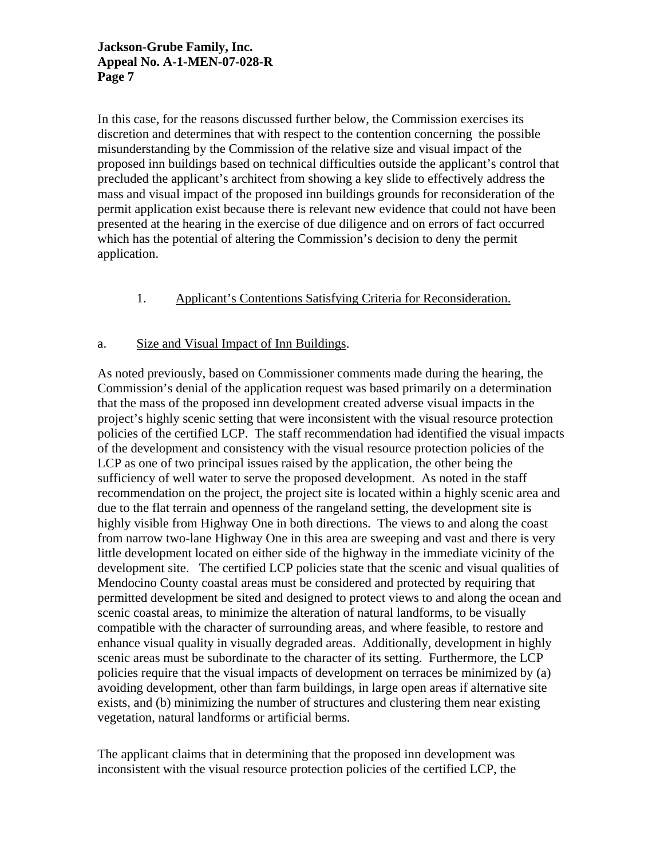In this case, for the reasons discussed further below, the Commission exercises its discretion and determines that with respect to the contention concerning the possible misunderstanding by the Commission of the relative size and visual impact of the proposed inn buildings based on technical difficulties outside the applicant's control that precluded the applicant's architect from showing a key slide to effectively address the mass and visual impact of the proposed inn buildings grounds for reconsideration of the permit application exist because there is relevant new evidence that could not have been presented at the hearing in the exercise of due diligence and on errors of fact occurred which has the potential of altering the Commission's decision to deny the permit application.

# 1. Applicant's Contentions Satisfying Criteria for Reconsideration.

## a. Size and Visual Impact of Inn Buildings.

As noted previously, based on Commissioner comments made during the hearing, the Commission's denial of the application request was based primarily on a determination that the mass of the proposed inn development created adverse visual impacts in the project's highly scenic setting that were inconsistent with the visual resource protection policies of the certified LCP. The staff recommendation had identified the visual impacts of the development and consistency with the visual resource protection policies of the LCP as one of two principal issues raised by the application, the other being the sufficiency of well water to serve the proposed development. As noted in the staff recommendation on the project, the project site is located within a highly scenic area and due to the flat terrain and openness of the rangeland setting, the development site is highly visible from Highway One in both directions. The views to and along the coast from narrow two-lane Highway One in this area are sweeping and vast and there is very little development located on either side of the highway in the immediate vicinity of the development site. The certified LCP policies state that the scenic and visual qualities of Mendocino County coastal areas must be considered and protected by requiring that permitted development be sited and designed to protect views to and along the ocean and scenic coastal areas, to minimize the alteration of natural landforms, to be visually compatible with the character of surrounding areas, and where feasible, to restore and enhance visual quality in visually degraded areas. Additionally, development in highly scenic areas must be subordinate to the character of its setting. Furthermore, the LCP policies require that the visual impacts of development on terraces be minimized by (a) avoiding development, other than farm buildings, in large open areas if alternative site exists, and (b) minimizing the number of structures and clustering them near existing vegetation, natural landforms or artificial berms.

The applicant claims that in determining that the proposed inn development was inconsistent with the visual resource protection policies of the certified LCP, the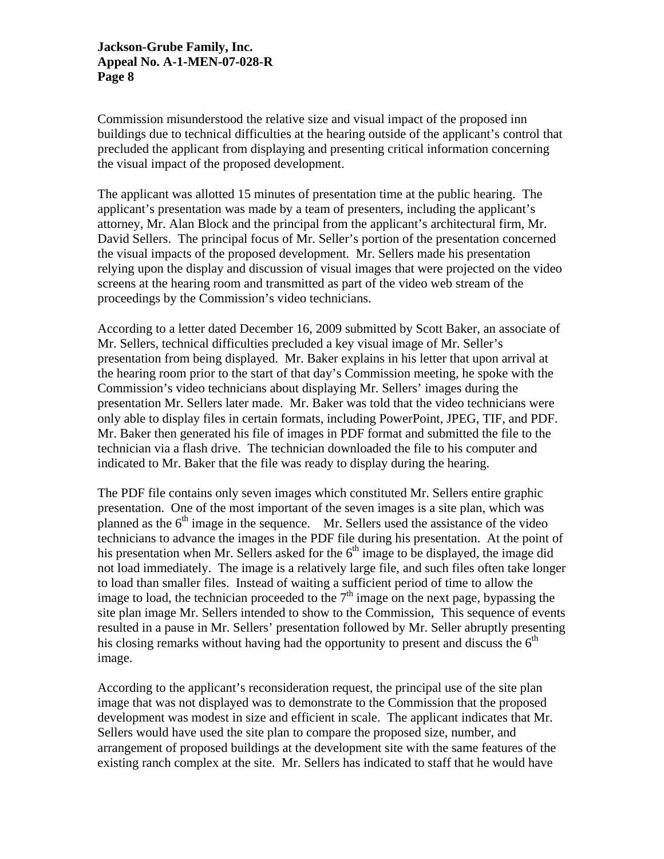Commission misunderstood the relative size and visual impact of the proposed inn buildings due to technical difficulties at the hearing outside of the applicant's control that precluded the applicant from displaying and presenting critical information concerning the visual impact of the proposed development.

The applicant was allotted 15 minutes of presentation time at the public hearing. The applicant's presentation was made by a team of presenters, including the applicant's attorney, Mr. Alan Block and the principal from the applicant's architectural firm, Mr. David Sellers. The principal focus of Mr. Seller's portion of the presentation concerned the visual impacts of the proposed development. Mr. Sellers made his presentation relying upon the display and discussion of visual images that were projected on the video screens at the hearing room and transmitted as part of the video web stream of the proceedings by the Commission's video technicians.

According to a letter dated December 16, 2009 submitted by Scott Baker, an associate of Mr. Sellers, technical difficulties precluded a key visual image of Mr. Seller's presentation from being displayed. Mr. Baker explains in his letter that upon arrival at the hearing room prior to the start of that day's Commission meeting, he spoke with the Commission's video technicians about displaying Mr. Sellers' images during the presentation Mr. Sellers later made. Mr. Baker was told that the video technicians were only able to display files in certain formats, including PowerPoint, JPEG, TIF, and PDF. Mr. Baker then generated his file of images in PDF format and submitted the file to the technician via a flash drive. The technician downloaded the file to his computer and indicated to Mr. Baker that the file was ready to display during the hearing.

The PDF file contains only seven images which constituted Mr. Sellers entire graphic presentation. One of the most important of the seven images is a site plan, which was planned as the  $6<sup>th</sup>$  image in the sequence. Mr. Sellers used the assistance of the video technicians to advance the images in the PDF file during his presentation. At the point of his presentation when Mr. Sellers asked for the  $6<sup>th</sup>$  image to be displayed, the image did not load immediately. The image is a relatively large file, and such files often take longer to load than smaller files. Instead of waiting a sufficient period of time to allow the image to load, the technician proceeded to the  $7<sup>th</sup>$  image on the next page, bypassing the site plan image Mr. Sellers intended to show to the Commission, This sequence of events resulted in a pause in Mr. Sellers' presentation followed by Mr. Seller abruptly presenting his closing remarks without having had the opportunity to present and discuss the  $6<sup>th</sup>$ image.

According to the applicant's reconsideration request, the principal use of the site plan image that was not displayed was to demonstrate to the Commission that the proposed development was modest in size and efficient in scale. The applicant indicates that Mr. Sellers would have used the site plan to compare the proposed size, number, and arrangement of proposed buildings at the development site with the same features of the existing ranch complex at the site. Mr. Sellers has indicated to staff that he would have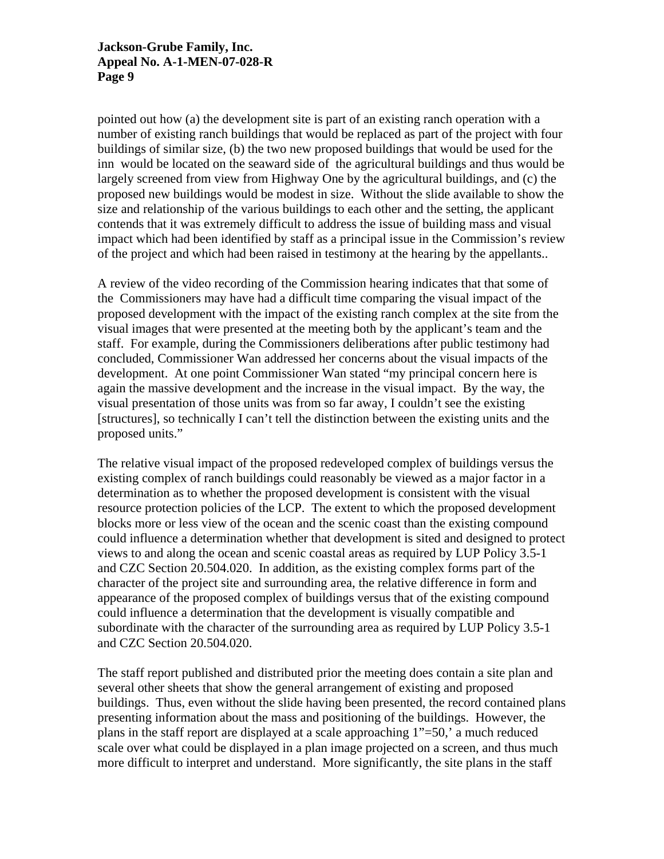pointed out how (a) the development site is part of an existing ranch operation with a number of existing ranch buildings that would be replaced as part of the project with four buildings of similar size, (b) the two new proposed buildings that would be used for the inn would be located on the seaward side of the agricultural buildings and thus would be largely screened from view from Highway One by the agricultural buildings, and (c) the proposed new buildings would be modest in size. Without the slide available to show the size and relationship of the various buildings to each other and the setting, the applicant contends that it was extremely difficult to address the issue of building mass and visual impact which had been identified by staff as a principal issue in the Commission's review of the project and which had been raised in testimony at the hearing by the appellants..

A review of the video recording of the Commission hearing indicates that that some of the Commissioners may have had a difficult time comparing the visual impact of the proposed development with the impact of the existing ranch complex at the site from the visual images that were presented at the meeting both by the applicant's team and the staff. For example, during the Commissioners deliberations after public testimony had concluded, Commissioner Wan addressed her concerns about the visual impacts of the development. At one point Commissioner Wan stated "my principal concern here is again the massive development and the increase in the visual impact. By the way, the visual presentation of those units was from so far away, I couldn't see the existing [structures], so technically I can't tell the distinction between the existing units and the proposed units."

The relative visual impact of the proposed redeveloped complex of buildings versus the existing complex of ranch buildings could reasonably be viewed as a major factor in a determination as to whether the proposed development is consistent with the visual resource protection policies of the LCP. The extent to which the proposed development blocks more or less view of the ocean and the scenic coast than the existing compound could influence a determination whether that development is sited and designed to protect views to and along the ocean and scenic coastal areas as required by LUP Policy 3.5-1 and CZC Section 20.504.020. In addition, as the existing complex forms part of the character of the project site and surrounding area, the relative difference in form and appearance of the proposed complex of buildings versus that of the existing compound could influence a determination that the development is visually compatible and subordinate with the character of the surrounding area as required by LUP Policy 3.5-1 and CZC Section 20.504.020.

The staff report published and distributed prior the meeting does contain a site plan and several other sheets that show the general arrangement of existing and proposed buildings. Thus, even without the slide having been presented, the record contained plans presenting information about the mass and positioning of the buildings. However, the plans in the staff report are displayed at a scale approaching 1"=50,' a much reduced scale over what could be displayed in a plan image projected on a screen, and thus much more difficult to interpret and understand. More significantly, the site plans in the staff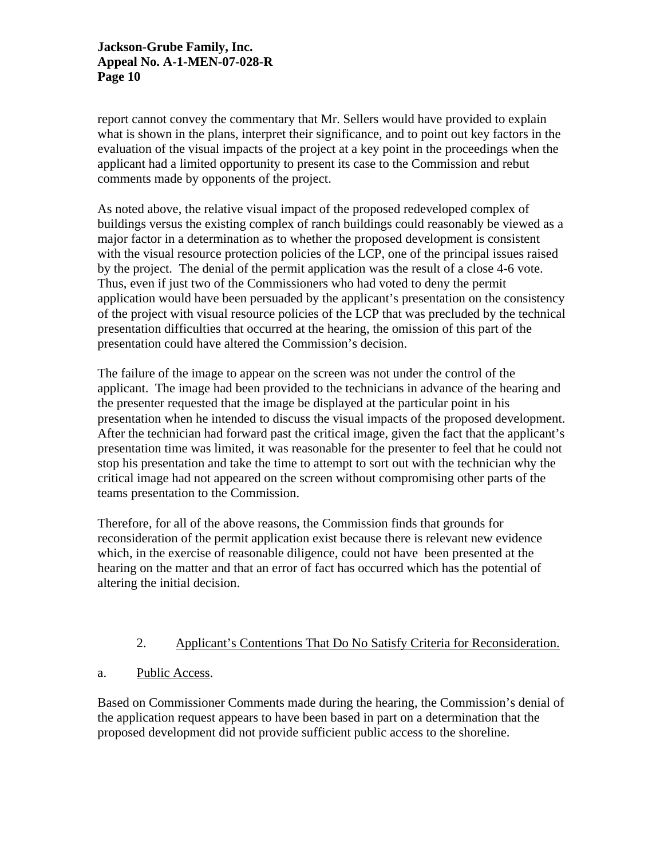report cannot convey the commentary that Mr. Sellers would have provided to explain what is shown in the plans, interpret their significance, and to point out key factors in the evaluation of the visual impacts of the project at a key point in the proceedings when the applicant had a limited opportunity to present its case to the Commission and rebut comments made by opponents of the project.

As noted above, the relative visual impact of the proposed redeveloped complex of buildings versus the existing complex of ranch buildings could reasonably be viewed as a major factor in a determination as to whether the proposed development is consistent with the visual resource protection policies of the LCP, one of the principal issues raised by the project. The denial of the permit application was the result of a close 4-6 vote. Thus, even if just two of the Commissioners who had voted to deny the permit application would have been persuaded by the applicant's presentation on the consistency of the project with visual resource policies of the LCP that was precluded by the technical presentation difficulties that occurred at the hearing, the omission of this part of the presentation could have altered the Commission's decision.

The failure of the image to appear on the screen was not under the control of the applicant. The image had been provided to the technicians in advance of the hearing and the presenter requested that the image be displayed at the particular point in his presentation when he intended to discuss the visual impacts of the proposed development. After the technician had forward past the critical image, given the fact that the applicant's presentation time was limited, it was reasonable for the presenter to feel that he could not stop his presentation and take the time to attempt to sort out with the technician why the critical image had not appeared on the screen without compromising other parts of the teams presentation to the Commission.

Therefore, for all of the above reasons, the Commission finds that grounds for reconsideration of the permit application exist because there is relevant new evidence which, in the exercise of reasonable diligence, could not have been presented at the hearing on the matter and that an error of fact has occurred which has the potential of altering the initial decision.

#### 2. Applicant's Contentions That Do No Satisfy Criteria for Reconsideration.

a. Public Access.

Based on Commissioner Comments made during the hearing, the Commission's denial of the application request appears to have been based in part on a determination that the proposed development did not provide sufficient public access to the shoreline.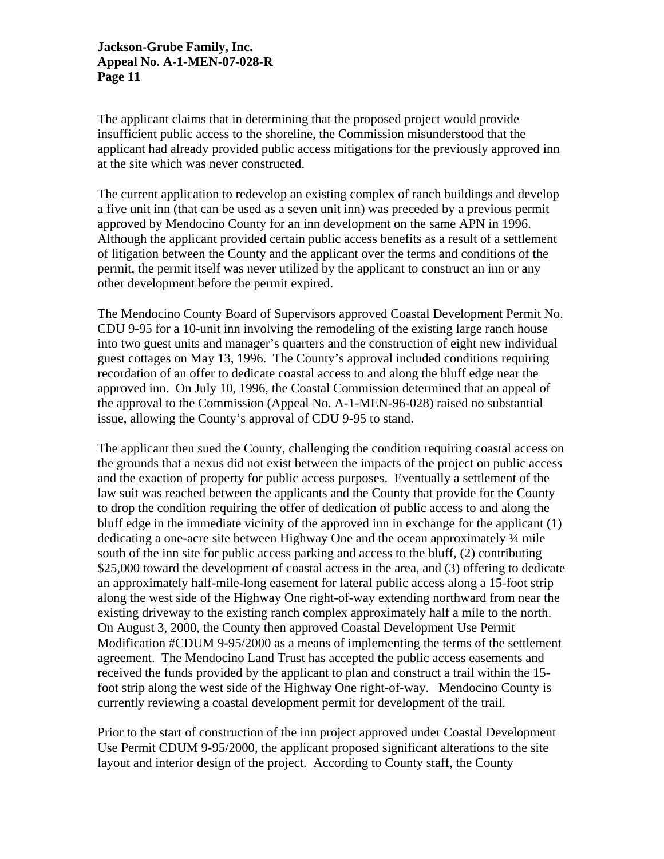The applicant claims that in determining that the proposed project would provide insufficient public access to the shoreline, the Commission misunderstood that the applicant had already provided public access mitigations for the previously approved inn at the site which was never constructed.

The current application to redevelop an existing complex of ranch buildings and develop a five unit inn (that can be used as a seven unit inn) was preceded by a previous permit approved by Mendocino County for an inn development on the same APN in 1996. Although the applicant provided certain public access benefits as a result of a settlement of litigation between the County and the applicant over the terms and conditions of the permit, the permit itself was never utilized by the applicant to construct an inn or any other development before the permit expired.

The Mendocino County Board of Supervisors approved Coastal Development Permit No. CDU 9-95 for a 10-unit inn involving the remodeling of the existing large ranch house into two guest units and manager's quarters and the construction of eight new individual guest cottages on May 13, 1996. The County's approval included conditions requiring recordation of an offer to dedicate coastal access to and along the bluff edge near the approved inn. On July 10, 1996, the Coastal Commission determined that an appeal of the approval to the Commission (Appeal No. A-1-MEN-96-028) raised no substantial issue, allowing the County's approval of CDU 9-95 to stand.

The applicant then sued the County, challenging the condition requiring coastal access on the grounds that a nexus did not exist between the impacts of the project on public access and the exaction of property for public access purposes. Eventually a settlement of the law suit was reached between the applicants and the County that provide for the County to drop the condition requiring the offer of dedication of public access to and along the bluff edge in the immediate vicinity of the approved inn in exchange for the applicant (1) dedicating a one-acre site between Highway One and the ocean approximately ¼ mile south of the inn site for public access parking and access to the bluff, (2) contributing \$25,000 toward the development of coastal access in the area, and (3) offering to dedicate an approximately half-mile-long easement for lateral public access along a 15-foot strip along the west side of the Highway One right-of-way extending northward from near the existing driveway to the existing ranch complex approximately half a mile to the north. On August 3, 2000, the County then approved Coastal Development Use Permit Modification #CDUM 9-95/2000 as a means of implementing the terms of the settlement agreement. The Mendocino Land Trust has accepted the public access easements and received the funds provided by the applicant to plan and construct a trail within the 15 foot strip along the west side of the Highway One right-of-way. Mendocino County is currently reviewing a coastal development permit for development of the trail.

Prior to the start of construction of the inn project approved under Coastal Development Use Permit CDUM 9-95/2000, the applicant proposed significant alterations to the site layout and interior design of the project. According to County staff, the County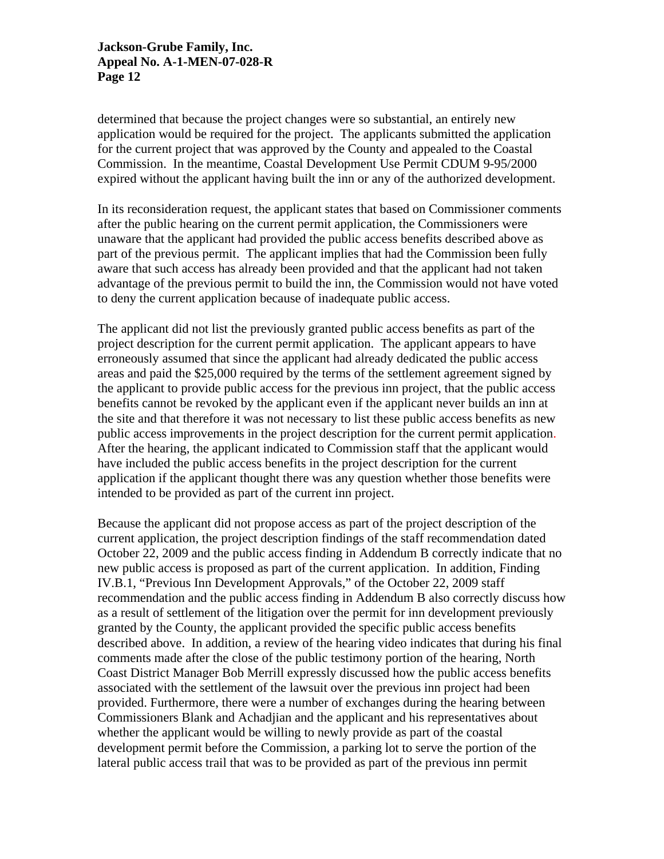determined that because the project changes were so substantial, an entirely new application would be required for the project. The applicants submitted the application for the current project that was approved by the County and appealed to the Coastal Commission. In the meantime, Coastal Development Use Permit CDUM 9-95/2000 expired without the applicant having built the inn or any of the authorized development.

In its reconsideration request, the applicant states that based on Commissioner comments after the public hearing on the current permit application, the Commissioners were unaware that the applicant had provided the public access benefits described above as part of the previous permit. The applicant implies that had the Commission been fully aware that such access has already been provided and that the applicant had not taken advantage of the previous permit to build the inn, the Commission would not have voted to deny the current application because of inadequate public access.

The applicant did not list the previously granted public access benefits as part of the project description for the current permit application. The applicant appears to have erroneously assumed that since the applicant had already dedicated the public access areas and paid the \$25,000 required by the terms of the settlement agreement signed by the applicant to provide public access for the previous inn project, that the public access benefits cannot be revoked by the applicant even if the applicant never builds an inn at the site and that therefore it was not necessary to list these public access benefits as new public access improvements in the project description for the current permit application. After the hearing, the applicant indicated to Commission staff that the applicant would have included the public access benefits in the project description for the current application if the applicant thought there was any question whether those benefits were intended to be provided as part of the current inn project.

Because the applicant did not propose access as part of the project description of the current application, the project description findings of the staff recommendation dated October 22, 2009 and the public access finding in Addendum B correctly indicate that no new public access is proposed as part of the current application. In addition, Finding IV.B.1, "Previous Inn Development Approvals," of the October 22, 2009 staff recommendation and the public access finding in Addendum B also correctly discuss how as a result of settlement of the litigation over the permit for inn development previously granted by the County, the applicant provided the specific public access benefits described above. In addition, a review of the hearing video indicates that during his final comments made after the close of the public testimony portion of the hearing, North Coast District Manager Bob Merrill expressly discussed how the public access benefits associated with the settlement of the lawsuit over the previous inn project had been provided. Furthermore, there were a number of exchanges during the hearing between Commissioners Blank and Achadjian and the applicant and his representatives about whether the applicant would be willing to newly provide as part of the coastal development permit before the Commission, a parking lot to serve the portion of the lateral public access trail that was to be provided as part of the previous inn permit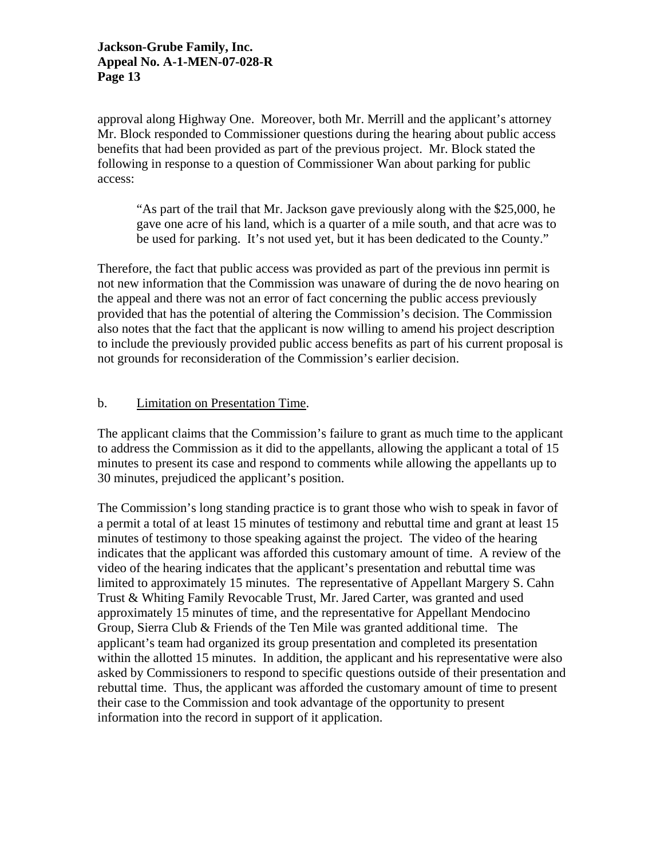approval along Highway One. Moreover, both Mr. Merrill and the applicant's attorney Mr. Block responded to Commissioner questions during the hearing about public access benefits that had been provided as part of the previous project. Mr. Block stated the following in response to a question of Commissioner Wan about parking for public access:

"As part of the trail that Mr. Jackson gave previously along with the \$25,000, he gave one acre of his land, which is a quarter of a mile south, and that acre was to be used for parking. It's not used yet, but it has been dedicated to the County."

Therefore, the fact that public access was provided as part of the previous inn permit is not new information that the Commission was unaware of during the de novo hearing on the appeal and there was not an error of fact concerning the public access previously provided that has the potential of altering the Commission's decision. The Commission also notes that the fact that the applicant is now willing to amend his project description to include the previously provided public access benefits as part of his current proposal is not grounds for reconsideration of the Commission's earlier decision.

# b. Limitation on Presentation Time.

The applicant claims that the Commission's failure to grant as much time to the applicant to address the Commission as it did to the appellants, allowing the applicant a total of 15 minutes to present its case and respond to comments while allowing the appellants up to 30 minutes, prejudiced the applicant's position.

The Commission's long standing practice is to grant those who wish to speak in favor of a permit a total of at least 15 minutes of testimony and rebuttal time and grant at least 15 minutes of testimony to those speaking against the project. The video of the hearing indicates that the applicant was afforded this customary amount of time. A review of the video of the hearing indicates that the applicant's presentation and rebuttal time was limited to approximately 15 minutes. The representative of Appellant Margery S. Cahn Trust & Whiting Family Revocable Trust, Mr. Jared Carter, was granted and used approximately 15 minutes of time, and the representative for Appellant Mendocino Group, Sierra Club & Friends of the Ten Mile was granted additional time. The applicant's team had organized its group presentation and completed its presentation within the allotted 15 minutes. In addition, the applicant and his representative were also asked by Commissioners to respond to specific questions outside of their presentation and rebuttal time. Thus, the applicant was afforded the customary amount of time to present their case to the Commission and took advantage of the opportunity to present information into the record in support of it application.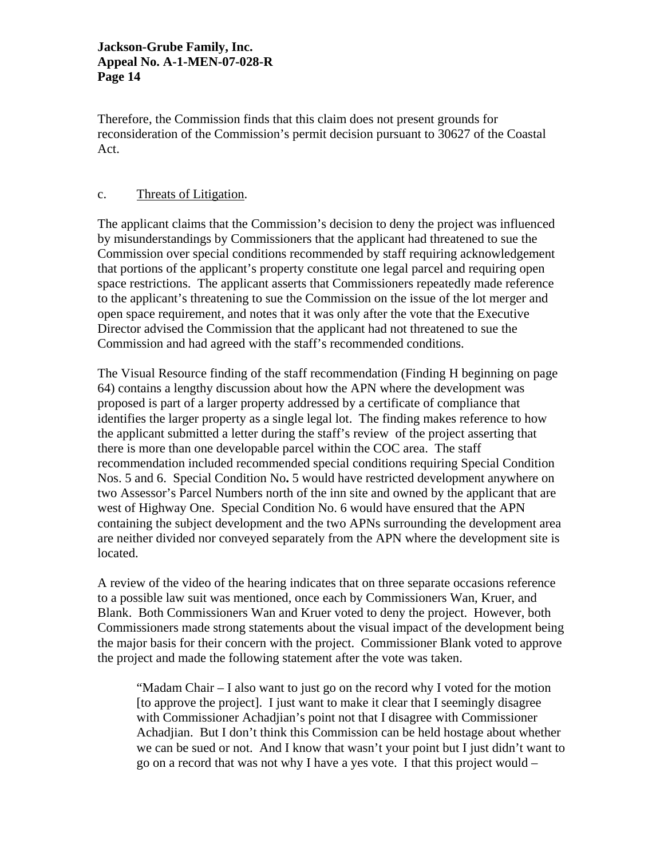Therefore, the Commission finds that this claim does not present grounds for reconsideration of the Commission's permit decision pursuant to 30627 of the Coastal Act.

## c. Threats of Litigation.

The applicant claims that the Commission's decision to deny the project was influenced by misunderstandings by Commissioners that the applicant had threatened to sue the Commission over special conditions recommended by staff requiring acknowledgement that portions of the applicant's property constitute one legal parcel and requiring open space restrictions. The applicant asserts that Commissioners repeatedly made reference to the applicant's threatening to sue the Commission on the issue of the lot merger and open space requirement, and notes that it was only after the vote that the Executive Director advised the Commission that the applicant had not threatened to sue the Commission and had agreed with the staff's recommended conditions.

The Visual Resource finding of the staff recommendation (Finding H beginning on page 64) contains a lengthy discussion about how the APN where the development was proposed is part of a larger property addressed by a certificate of compliance that identifies the larger property as a single legal lot. The finding makes reference to how the applicant submitted a letter during the staff's review of the project asserting that there is more than one developable parcel within the COC area. The staff recommendation included recommended special conditions requiring Special Condition Nos. 5 and 6. Special Condition No**.** 5 would have restricted development anywhere on two Assessor's Parcel Numbers north of the inn site and owned by the applicant that are west of Highway One. Special Condition No. 6 would have ensured that the APN containing the subject development and the two APNs surrounding the development area are neither divided nor conveyed separately from the APN where the development site is located.

A review of the video of the hearing indicates that on three separate occasions reference to a possible law suit was mentioned, once each by Commissioners Wan, Kruer, and Blank. Both Commissioners Wan and Kruer voted to deny the project. However, both Commissioners made strong statements about the visual impact of the development being the major basis for their concern with the project. Commissioner Blank voted to approve the project and made the following statement after the vote was taken.

"Madam Chair – I also want to just go on the record why I voted for the motion [to approve the project]. I just want to make it clear that I seemingly disagree with Commissioner Achadjian's point not that I disagree with Commissioner Achadjian. But I don't think this Commission can be held hostage about whether we can be sued or not. And I know that wasn't your point but I just didn't want to go on a record that was not why I have a yes vote. I that this project would –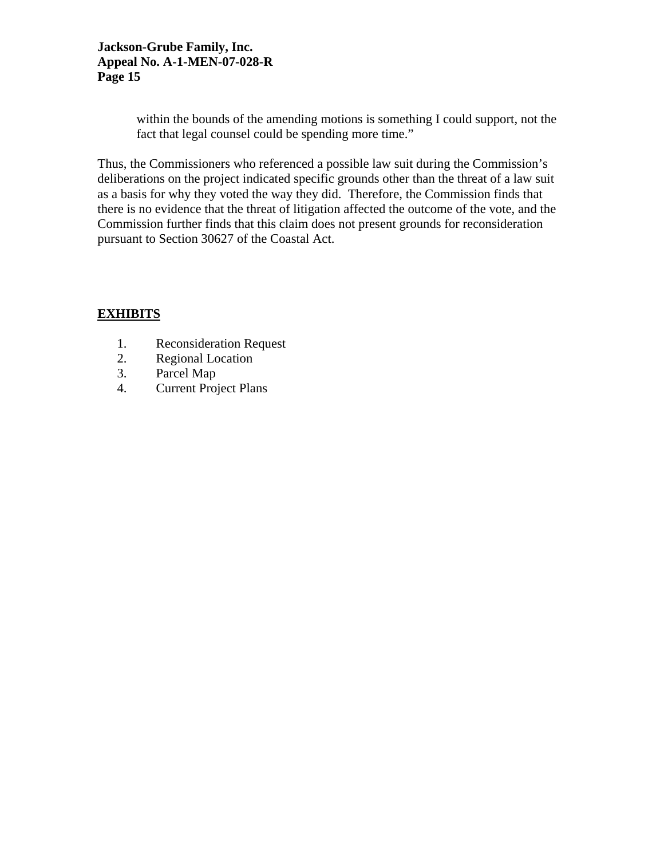within the bounds of the amending motions is something I could support, not the fact that legal counsel could be spending more time."

Thus, the Commissioners who referenced a possible law suit during the Commission's deliberations on the project indicated specific grounds other than the threat of a law suit as a basis for why they voted the way they did. Therefore, the Commission finds that there is no evidence that the threat of litigation affected the outcome of the vote, and the Commission further finds that this claim does not present grounds for reconsideration pursuant to Section 30627 of the Coastal Act.

# **EXHIBITS**

- 1. Reconsideration Request
- 2. Regional Location
- 3. Parcel Map
- 4. Current Project Plans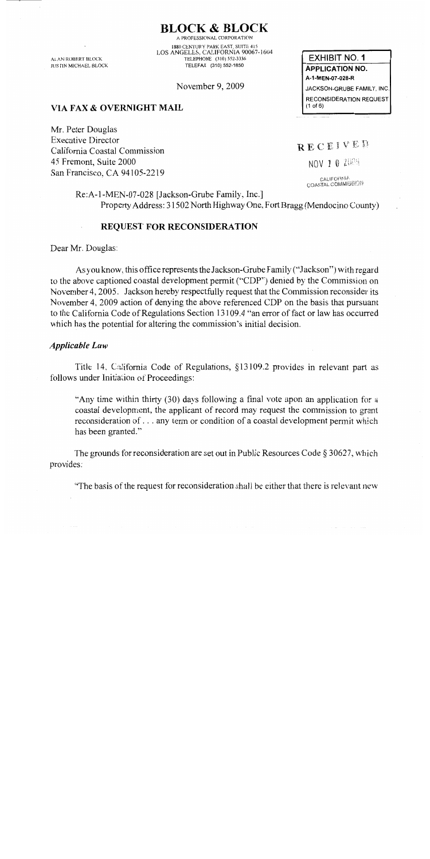**BLOCK & BLOCK** 

**ALAN ROBERT BLOCK JUSTIN MICHAEL BLOCK** 

A PROFESSIONAL CORPORATION 1880 CENTURY PARK EAST, SUITE 415 LOS ANGELES, CALIFORNIA 90067-1604 TELEPHONE (310) 552-3336 TELEFAX (310) 552-1850

November 9, 2009

VIA FAX & OVERNIGHT MAIL

Mr. Peter Douglas **Executive Director** California Coastal Commission 45 Fremont, Suite 2000 San Francisco, CA 94105-2219

**EXHIBIT NO. 1 APPLICATION NO.** A-1-MEN-07-028-R JACKSON-GRUBE FAMILY, INC. **RECONSIDERATION REQUEST**  $(1$  of  $6)$ 

RECEIVED

NOV 1 0 2009

CALIFORNIA COASTAL COMMISSION

Re:A-1-MEN-07-028 [Jackson-Grube Family, Inc.] Property Address: 31502 North Highway One, Fort Bragg (Mendocino County)

#### **REQUEST FOR RECONSIDERATION**

Dear Mr. Douglas:

As you know, this office represents the Jackson-Grube Family ("Jackson") with regard to the above captioned coastal development permit ("CDP") denied by the Commission on November 4, 2005. Jackson hereby respectfully request that the Commission reconsider its November 4, 2009 action of denying the above referenced CDP on the basis that pursuant to the California Code of Regulations Section 13109.4 "an error of fact or law has occurred which has the potential for altering the commission's initial decision.

#### **Applicable Law**

Title 14, California Code of Regulations, §13109.2 provides in relevant part as follows under Initiation of Proceedings:

"Any time within thirty (30) days following a final vote upon an application for a coastal development, the applicant of record may request the commission to grant reconsideration of . . . any term or condition of a coastal development permit which has been granted."

The grounds for reconsideration are set out in Public Resources Code  $\S 30627$ , which provides:

"The basis of the request for reconsideration shall be either that there is relevant new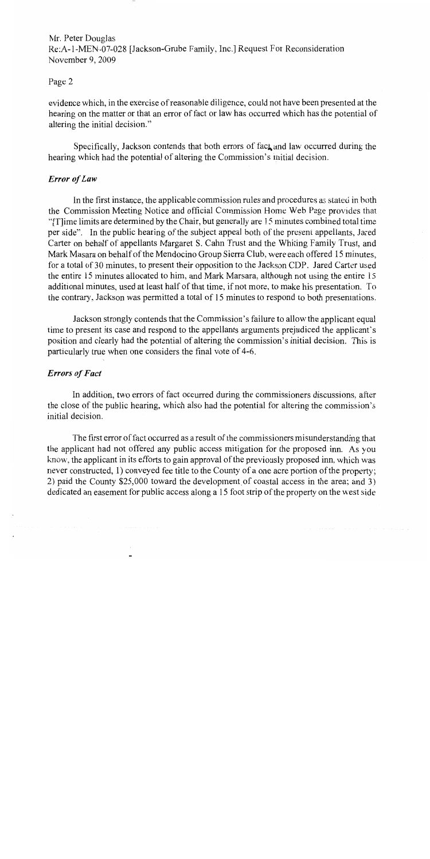Mr. Peter Douglas Re:A-1-MEN-07-028 [Jackson-Grube Family, Inc.] Request For Reconsideration November 9, 2009

#### Page 2

evidence which, in the exercise of reasonable diligence, could not have been presented at the hearing on the matter or that an error of fact or law has occurred which has the potential of altering the initial decision."

Specifically, Jackson contends that both errors of fact and law occurred during the hearing which had the potential of altering the Commission's initial decision.

#### **Error** of Law

In the first instance, the applicable commission rules and procedures as stated in both the Commission Meeting Notice and official Commission Home Web Page provides that "[T] ime limits are determined by the Chair, but generally are 15 minutes combined total time per side". In the public hearing of the subject appeal both of the present appellants, Jared Carter on behalf of appellants Margaret S. Cahn Trust and the Whiting Family Trust, and Mark Masara on behalf of the Mendocino Group Sierra Club, were each offered 15 minutes, for a total of 30 minutes, to present their opposition to the Jackson CDP. Jared Carter used the entire 15 minutes allocated to him, and Mark Marsara, although not using the entire 15 additional minutes, used at least half of that time, if not more, to make his presentation. To the contrary, Jackson was permitted a total of 15 minutes to respond to both presentations.

Jackson strongly contends that the Commission's failure to allow the applicant equal time to present its case and respond to the appellants arguments prejudiced the applicant's position and clearly had the potential of altering the commission's initial decision. This is particularly true when one considers the final vote of 4-6.

## **Errors of Fact**

In addition, two errors of fact occurred during the commissioners discussions, after the close of the public hearing, which also had the potential for altering the commission's initial decision.

The first error of fact occurred as a result of the commissioners misunderstanding that the applicant had not offered any public access mitigation for the proposed inn. As you know, the applicant in its efforts to gain approval of the previously proposed inn, which was never constructed, 1) conveyed fee title to the County of a one acre portion of the property; 2) paid the County \$25,000 toward the development of coastal access in the area; and 3) dedicated an easement for public access along a 15 foot strip of the property on the west side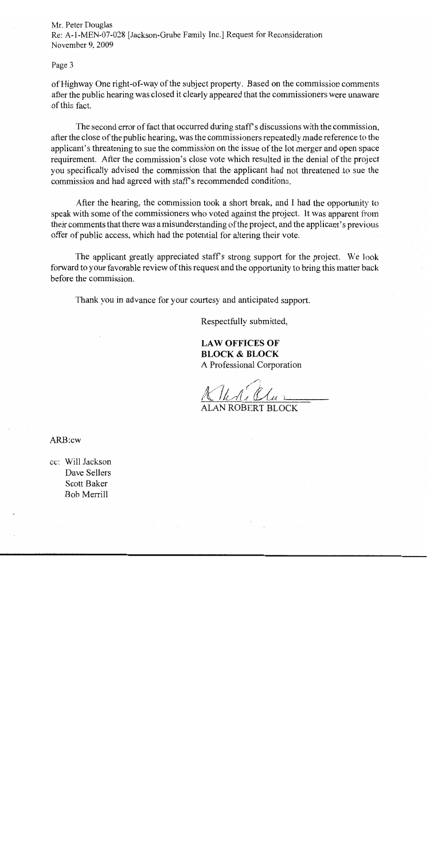Mr. Peter Douglas Re: A-1-MEN-07-028 [Jackson-Grube Family Inc.] Request for Reconsideration November 9, 2009

#### Page 3

of Highway One right-of-way of the subject property. Based on the commission comments after the public hearing was closed it clearly appeared that the commissioners were unaware of this fact.

The second error of fact that occurred during staff's discussions with the commission, after the close of the public hearing, was the commissioners repeatedly made reference to the applicant's threatening to sue the commission on the issue of the lot merger and open space requirement. After the commission's close vote which resulted in the denial of the project you specifically advised the commission that the applicant had not threatened to sue the commission and had agreed with staff's recommended conditions.

After the hearing, the commission took a short break, and I had the opportunity to speak with some of the commissioners who voted against the project. It was apparent from their comments that there was a misunderstanding of the project, and the applicant's previous offer of public access, which had the potential for altering their vote.

The applicant greatly appreciated staff's strong support for the project. We look forward to your favorable review of this request and the opportunity to bring this matter back before the commission.

Thank you in advance for your courtesy and anticipated support.

Respectfully submitted,

**LAW OFFICES OF BLOCK & BLOCK** A Professional Corporation

ALAN ROBERT BLOCK

ARB:cw

cc: Will Jackson Dave Sellers Scott Baker Bob Merrill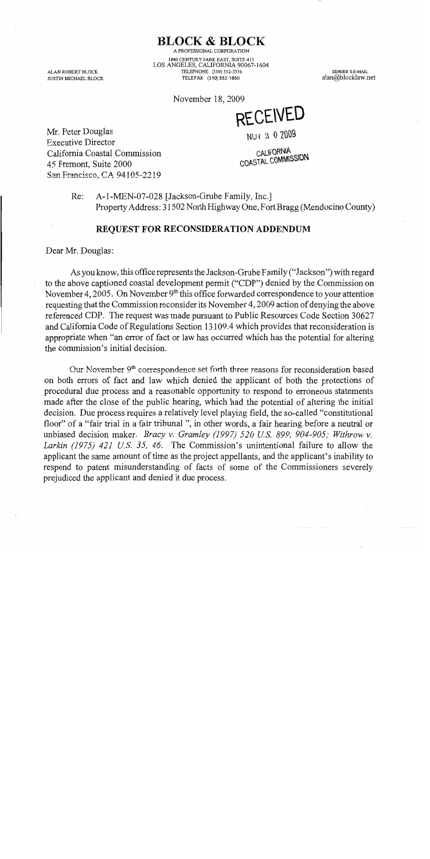ALAN ROBERT BLOCK JUSTIN MICHAEL BLOCK

A PROFESSIONAL CORPORATION 1880 CENTURY PARK EAST, SUITE 415 LOS ANGELES, CALIFORNIA 90067-1604 TELEPHONE (310) 552-3336 TELEFAX (310) 552-1850

**BLOCK & BLOCK** 

November 18, 2009

**RECEIVED** 

SENDER'S E-MAIL

alan@blocklaw.net

NUV 3 0 2009

Mr. Peter Douglas **Executive Director** California Coastal Commission 45 Fremont, Suite 2000 San Francisco, CA 94105-2219

CALIFORNIA COASTAL COMMISSION

A-1-MEN-07-028 [Jackson-Grube Family, Inc.]  $Re:$ Property Address: 31502 North Highway One, Fort Bragg (Mendocino County)

#### **REQUEST FOR RECONSIDERATION ADDENDUM**

Dear Mr. Douglas:

As you know, this office represents the Jackson-Grube Family ("Jackson") with regard to the above captioned coastal development permit ("CDP") denied by the Commission on November 4, 2005. On November  $9<sup>th</sup>$  this office forwarded correspondence to your attention requesting that the Commission reconsider its November 4, 2009 action of denying the above referenced CDP. The request was made pursuant to Public Resources Code Section 30627 and California Code of Regulations Section 13109.4 which provides that reconsideration is appropriate when "an error of fact or law has occurred which has the potential for altering the commission's initial decision.

Our November 9<sup>th</sup> correspondence set forth three reasons for reconsideration based on both errors of fact and law which denied the applicant of both the protections of procedural due process and a reasonable opportunity to respond to erroneous statements made after the close of the public hearing, which had the potential of altering the initial decision. Due process requires a relatively level playing field, the so-called "constitutional" floor" of a "fair trial in a fair tribunal", in other words, a fair hearing before a neutral or unbiased decision maker. *Bracy v. Gramley (1997) 520 U.S. 899, 904-905; Withrow v.* Larkin (1975) 421 U.S. 35, 46. The Commission's unintentional failure to allow the applicant the same amount of time as the project appellants, and the applicant's inability to respond to patent misunderstanding of facts of some of the Commissioners severely prejudiced the applicant and denied it due process.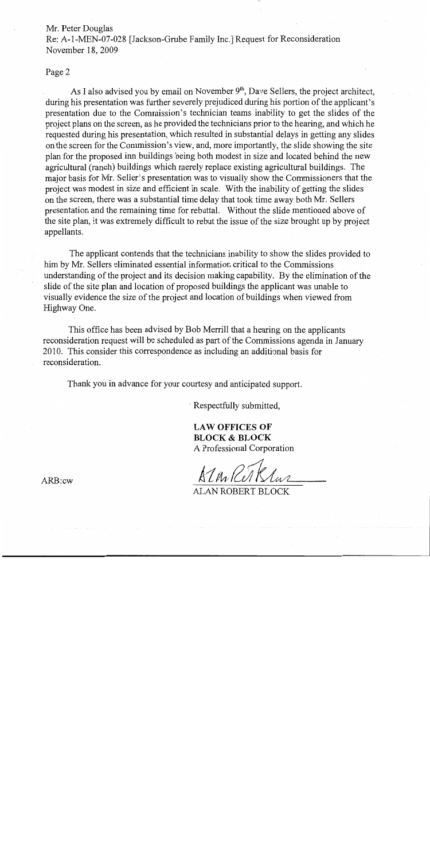#### Mr. Peter Douglas

Re: A-1-MEN-07-028 [Jackson-Grube Family Inc.] Request for Reconsideration November 18, 2009

#### Page 2

As I also advised you by email on November 9<sup>th</sup>, Dave Sellers, the project architect, during his presentation was further severely prejudiced during his portion of the applicant's presentation due to the Commission's technician teams inability to get the slides of the project plans on the screen, as he provided the technicians prior to the hearing, and which he requested during his presentation, which resulted in substantial delays in getting any slides on the screen for the Commission's view, and, more importantly, the slide showing the site plan for the proposed inn buildings being both modest in size and located behind the new agricultural (ranch) buildings which merely replace existing agricultural buildings. The major basis for Mr. Seller's presentation was to visually show the Commissioners that the project was modest in size and efficient in scale. With the inability of getting the slides on the screen, there was a substantial time delay that took time away both Mr. Sellers presentation and the remaining time for rebuttal. Without the slide mentioned above of the site plan, it was extremely difficult to rebut the issue of the size brought up by project appellants.

The applicant contends that the technicians inability to show the slides provided to him by Mr. Sellers eliminated essential information critical to the Commissions understanding of the project and its decision making capability. By the elimination of the slide of the site plan and location of proposed buildings the applicant was unable to visually evidence the size of the project and location of buildings when viewed from Highway One.

This office has been advised by Bob Merrill that a hearing on the applicants reconsideration request will be scheduled as part of the Commissions agenda in January 2010. This consider this correspondence as including an additional basis for reconsideration.

Thank you in advance for your courtesy and anticipated support.

Respectfully submitted,

**LAW OFFICES OF BLOCK & BLOCK** A Professional Corporation

**ALAN ROBERT BLOCK** 

 $ARB:cw$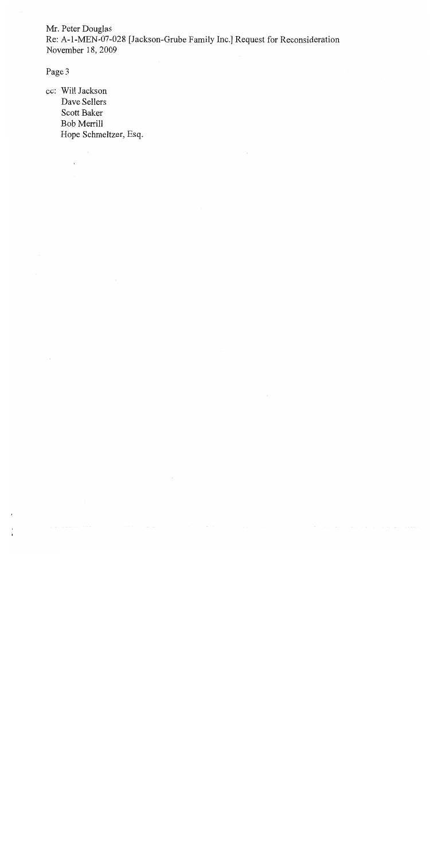Mr. Peter Douglas Re: A-1-MEN-07-028 [Jackson-Grube Family Inc.] Request for Reconsideration November 18, 2009

Page 3

cc: Will Jackson Dave Sellers Scott Baker Bob Merrill Hope Schmeltzer, Esq.

 $\bar{z}$ 

 $\hat{\mathbf{r}}$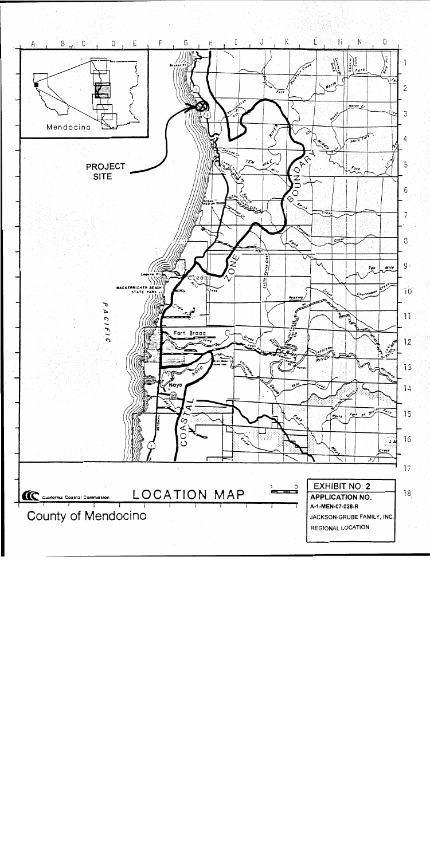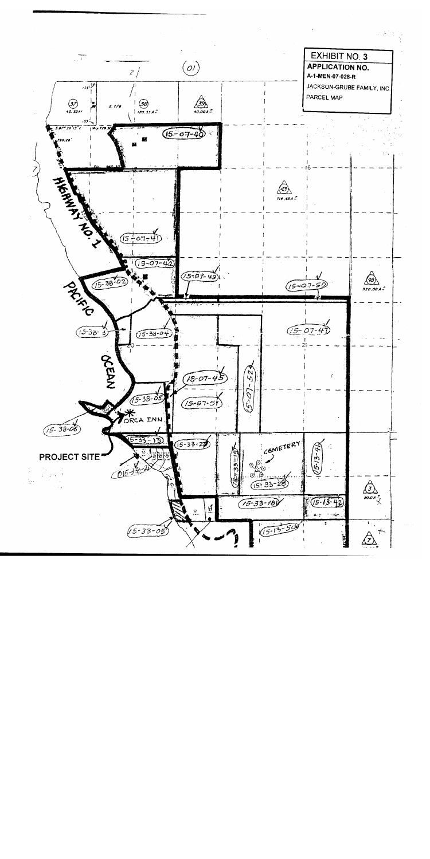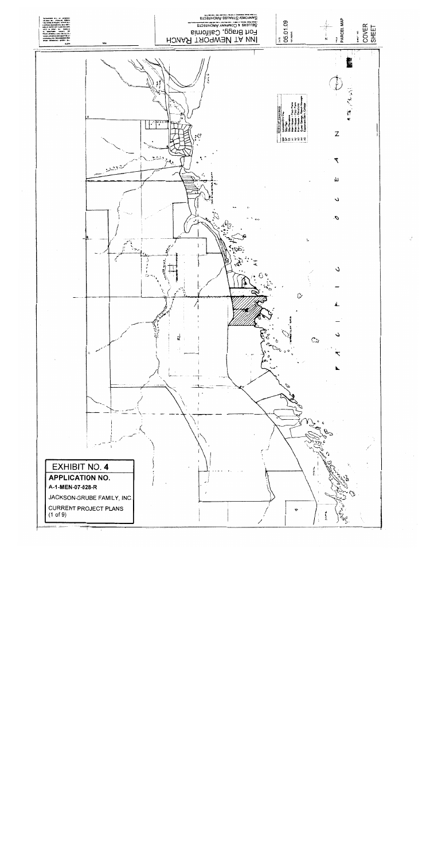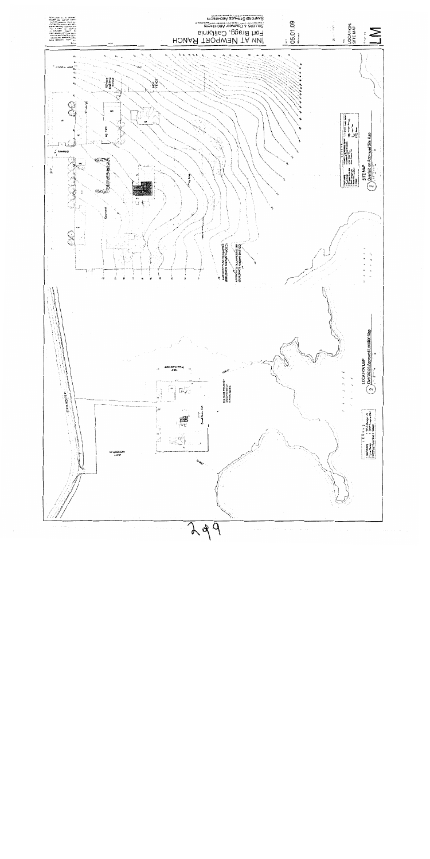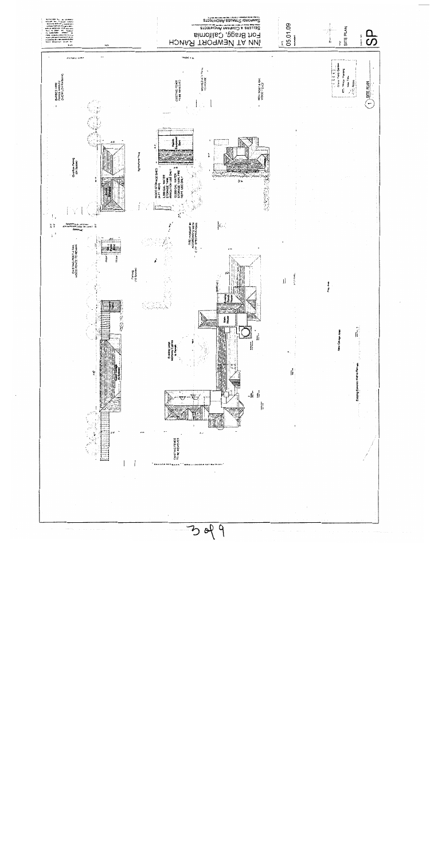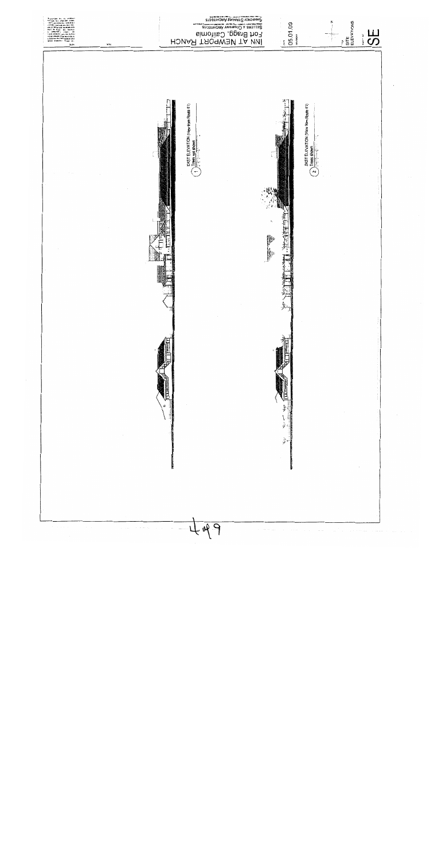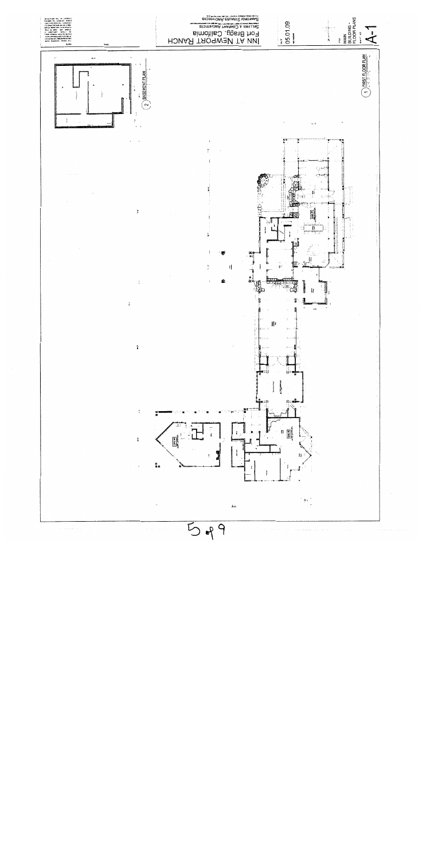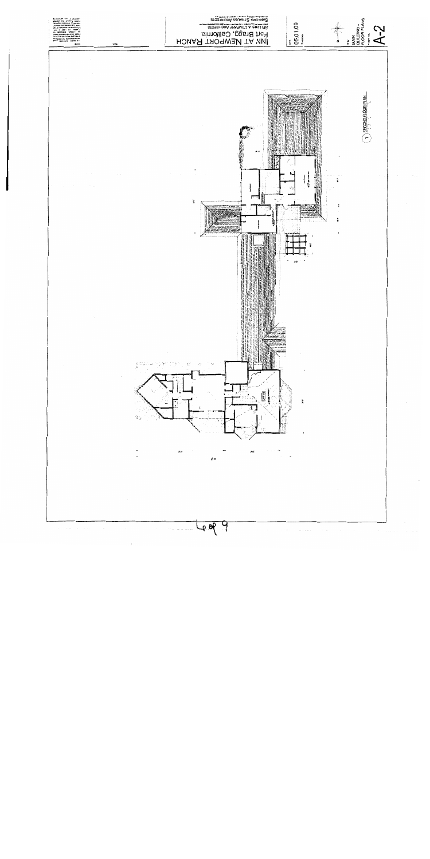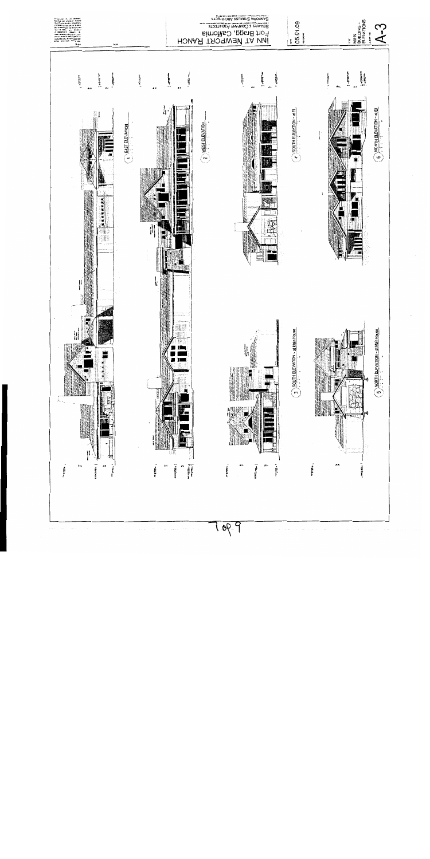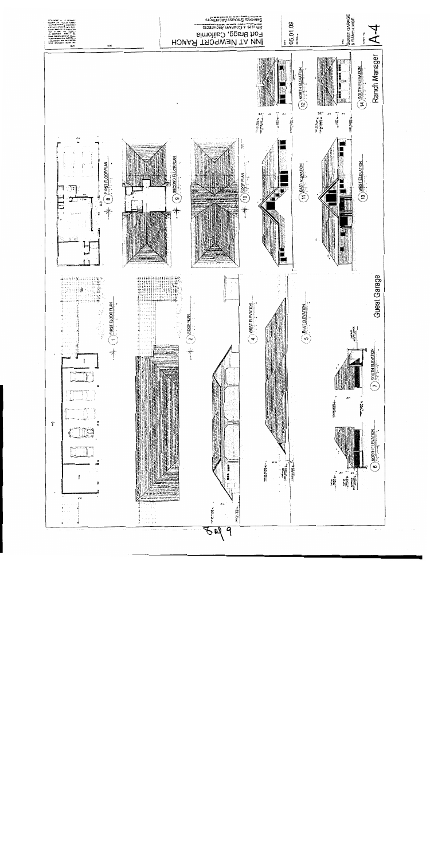